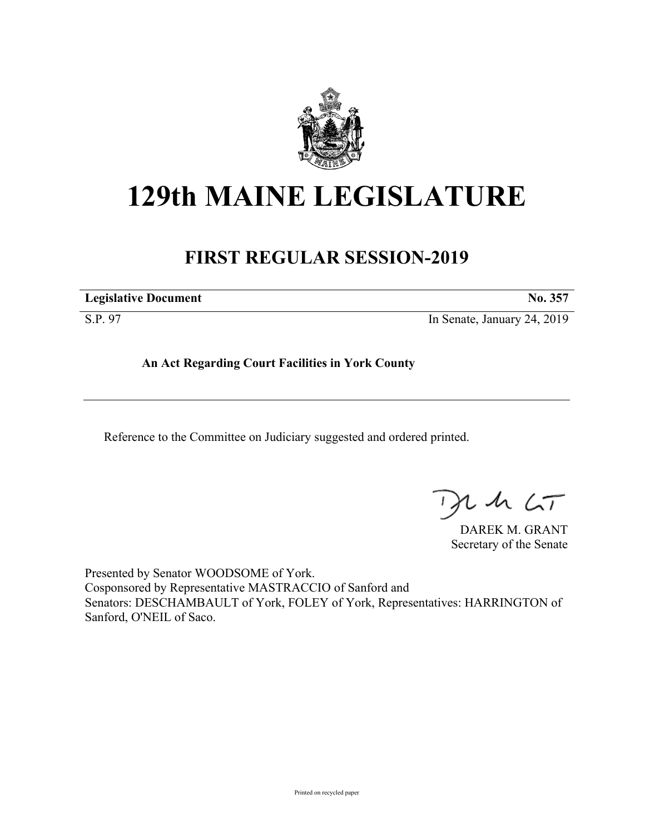

# **129th MAINE LEGISLATURE**

## **FIRST REGULAR SESSION-2019**

**Legislative Document No. 357**

S.P. 97 In Senate, January 24, 2019

**An Act Regarding Court Facilities in York County**

Reference to the Committee on Judiciary suggested and ordered printed.

, in  $\zeta$ T

DAREK M. GRANT Secretary of the Senate

Presented by Senator WOODSOME of York. Cosponsored by Representative MASTRACCIO of Sanford and Senators: DESCHAMBAULT of York, FOLEY of York, Representatives: HARRINGTON of Sanford, O'NEIL of Saco.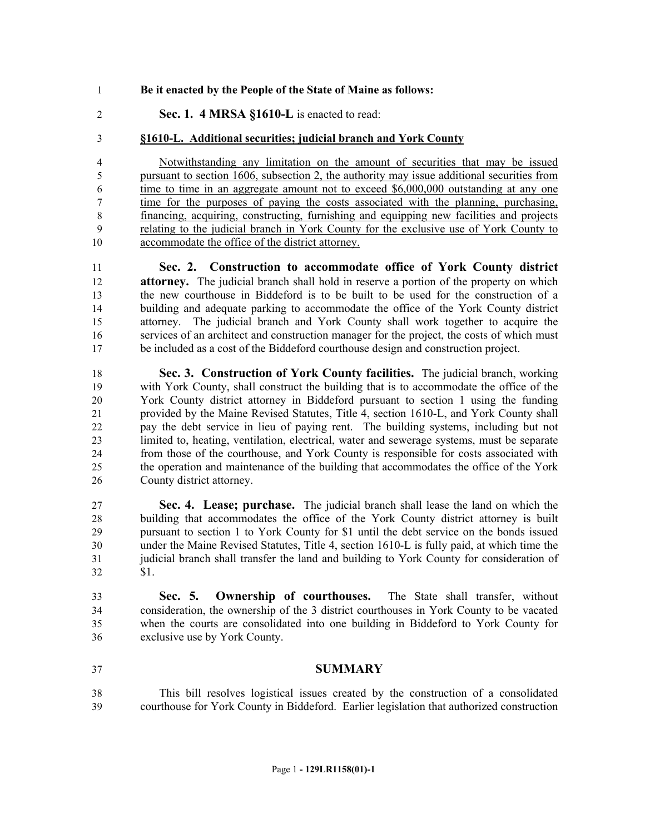### **Be it enacted by the People of the State of Maine as follows:**

**Sec. 1. 4 MRSA §1610-L** is enacted to read:

### **§1610-L. Additional securities; judicial branch and York County**

 Notwithstanding any limitation on the amount of securities that may be issued pursuant to section 1606, subsection 2, the authority may issue additional securities from time to time in an aggregate amount not to exceed \$6,000,000 outstanding at any one time for the purposes of paying the costs associated with the planning, purchasing, financing, acquiring, constructing, furnishing and equipping new facilities and projects relating to the judicial branch in York County for the exclusive use of York County to 10 accommodate the office of the district attorney.

 **Sec. 2. Construction to accommodate office of York County district attorney.** The judicial branch shall hold in reserve a portion of the property on which the new courthouse in Biddeford is to be built to be used for the construction of a building and adequate parking to accommodate the office of the York County district attorney. The judicial branch and York County shall work together to acquire the services of an architect and construction manager for the project, the costs of which must be included as a cost of the Biddeford courthouse design and construction project.

 **Sec. 3. Construction of York County facilities.** The judicial branch, working with York County, shall construct the building that is to accommodate the office of the York County district attorney in Biddeford pursuant to section 1 using the funding provided by the Maine Revised Statutes, Title 4, section 1610-L, and York County shall pay the debt service in lieu of paying rent. The building systems, including but not limited to, heating, ventilation, electrical, water and sewerage systems, must be separate from those of the courthouse, and York County is responsible for costs associated with the operation and maintenance of the building that accommodates the office of the York County district attorney.

 **Sec. 4. Lease; purchase.** The judicial branch shall lease the land on which the building that accommodates the office of the York County district attorney is built pursuant to section 1 to York County for \$1 until the debt service on the bonds issued under the Maine Revised Statutes, Title 4, section 1610-L is fully paid, at which time the judicial branch shall transfer the land and building to York County for consideration of \$1.

 **Sec. 5. Ownership of courthouses.** The State shall transfer, without consideration, the ownership of the 3 district courthouses in York County to be vacated when the courts are consolidated into one building in Biddeford to York County for exclusive use by York County.

#### **SUMMARY**

 This bill resolves logistical issues created by the construction of a consolidated courthouse for York County in Biddeford. Earlier legislation that authorized construction